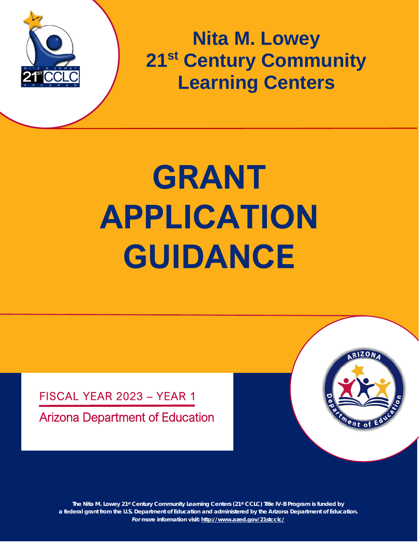

**Nita M. Lowey 21st Century Community Learning Centers**

# **GRANT APPLICATION GUIDANCE**

FISCAL YEAR 2023 – YEAR 1

Arizona Department of Education



**1 a federal grant from the U.S. Department of Education and administered by the Arizona Department of Education. The Nita M. Lowey 21st Century Community Learning Centers (21st CCLC) Title IV-B Program is funded by For more information visit:<http://www.azed.gov/21stcclc/>**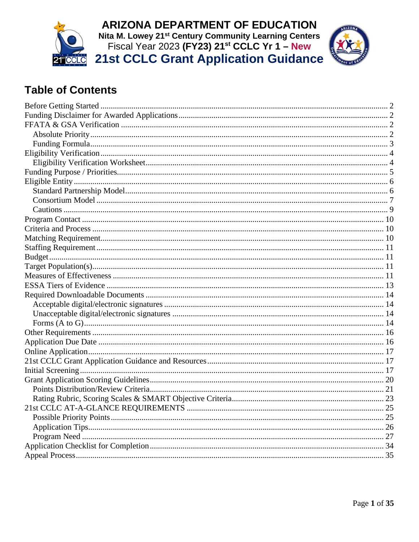



# **Table of Contents**

| 21st CCLC AT-A-GLANCE REOUIREMENTS. | 25 |
|-------------------------------------|----|
|                                     |    |
|                                     |    |
|                                     |    |
|                                     |    |
|                                     |    |
|                                     |    |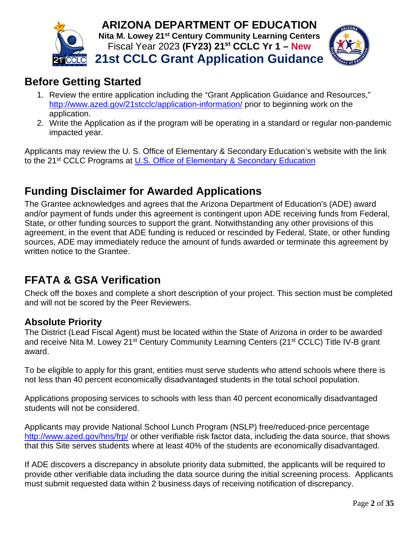



# <span id="page-2-0"></span>**Before Getting Started**

- 1. Review the entire application including the "Grant Application Guidance and Resources," <http://www.azed.gov/21stcclc/application-information/> prior to beginning work on the application.
- 2. Write the Application as if the program will be operating in a standard or regular non-pandemic impacted year.

Applicants may review the U. S. Office of Elementary & Secondary Education's website with the link to the 21<sup>st</sup> CCLC Programs at [U.S. Office of Elementary & Secondary Education](https://oese.ed.gov/offices/office-of-formula-grants/school-support-and-accountability/21st-century-community-learning-centers/)

# <span id="page-2-1"></span>**Funding Disclaimer for Awarded Applications**

The Grantee acknowledges and agrees that the Arizona Department of Education's (ADE) award and/or payment of funds under this agreement is contingent upon ADE receiving funds from Federal, State, or other funding sources to support the grant. Notwithstanding any other provisions of this agreement, in the event that ADE funding is reduced or rescinded by Federal, State, or other funding sources, ADE may immediately reduce the amount of funds awarded or terminate this agreement by written notice to the Grantee.

# <span id="page-2-2"></span>**FFATA & GSA Verification**

Check off the boxes and complete a short description of your project. This section must be completed and will not be scored by the Peer Reviewers.

# <span id="page-2-3"></span>**Absolute Priority**

The District (Lead Fiscal Agent) must be located within the State of Arizona in order to be awarded and receive Nita M. Lowey 21<sup>st</sup> Century Community Learning Centers (21<sup>st</sup> CCLC) Title IV-B grant award.

To be eligible to apply for this grant, entities must serve students who attend schools where there is not less than 40 percent economically disadvantaged students in the total school population.

Applications proposing services to schools with less than 40 percent economically disadvantaged students will not be considered.

Applicants may provide National School Lunch Program (NSLP) free/reduced-price percentage <http://www.azed.gov/hns/frp/> or other verifiable risk factor data, including the data source, that shows that this Site serves students where at least 40% of the students are economically disadvantaged.

If ADE discovers a discrepancy in absolute priority data submitted, the applicants will be required to provide other verifiable data including the data source during the initial screening process. Applicants must submit requested data within 2 business days of receiving notification of discrepancy.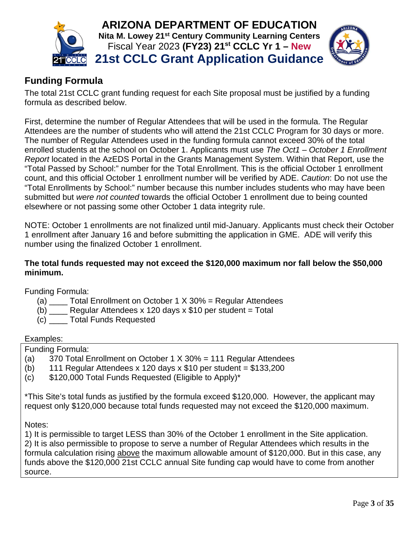



# <span id="page-3-0"></span>**Funding Formula**

The total 21st CCLC grant funding request for each Site proposal must be justified by a funding formula as described below.

First, determine the number of Regular Attendees that will be used in the formula. The Regular Attendees are the number of students who will attend the 21st CCLC Program for 30 days or more. The number of Regular Attendees used in the funding formula cannot exceed 30% of the total enrolled students at the school on October 1. Applicants must use *The Oct1 – October 1 Enrollment Report* located in the AzEDS Portal in the Grants Management System. Within that Report, use the "Total Passed by School:" number for the Total Enrollment. This is the official October 1 enrollment count, and this official October 1 enrollment number will be verified by ADE. *Caution*: Do not use the "Total Enrollments by School:" number because this number includes students who may have been submitted but *were not counted* towards the official October 1 enrollment due to being counted elsewhere or not passing some other October 1 data integrity rule.

NOTE: October 1 enrollments are not finalized until mid-January. Applicants must check their October 1 enrollment after January 16 and before submitting the application in GME. ADE will verify this number using the finalized October 1 enrollment.

#### **The total funds requested may not exceed the \$120,000 maximum nor fall below the \$50,000 minimum.**

Funding Formula:

- (a)  $\blacksquare$  Total Enrollment on October 1 X 30% = Regular Attendees
- (b)  $\frac{1}{\sqrt{2}}$  Regular Attendees x 120 days x \$10 per student = Total
- (c) \_\_\_\_ Total Funds Requested

#### Examples:

Funding Formula:

- (a) 370 Total Enrollment on October 1 X 30% = 111 Regular Attendees
- (b) 111 Regular Attendees x 120 days x  $$10$  per student =  $$133,200$
- (c) \$120,000 Total Funds Requested (Eligible to Apply)\*

\*This Site's total funds as justified by the formula exceed \$120,000. However, the applicant may request only \$120,000 because total funds requested may not exceed the \$120,000 maximum.

Notes:

1) It is permissible to target LESS than 30% of the October 1 enrollment in the Site application. 2) It is also permissible to propose to serve a number of Regular Attendees which results in the formula calculation rising above the maximum allowable amount of \$120,000. But in this case, any funds above the \$120,000 21st CCLC annual Site funding cap would have to come from another source.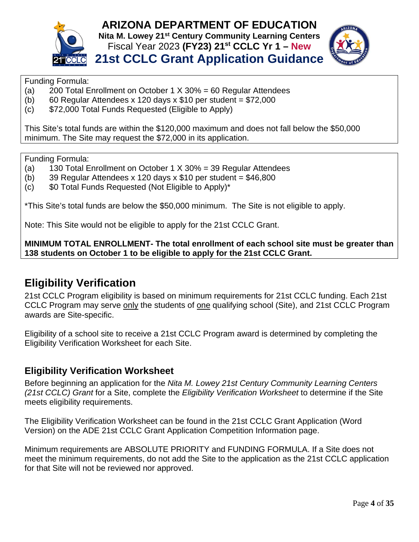



#### Funding Formula:

- (a) 200 Total Enrollment on October 1 X 30% = 60 Regular Attendees
- (b) 60 Regular Attendees x 120 days x \$10 per student =  $$72,000$
- (c) \$72,000 Total Funds Requested (Eligible to Apply)

This Site's total funds are within the \$120,000 maximum and does not fall below the \$50,000 minimum. The Site may request the \$72,000 in its application.

Funding Formula:

- (a) 130 Total Enrollment on October 1 X 30% = 39 Regular Attendees
- (b) 39 Regular Attendees x 120 days x  $$10$  per student =  $$46,800$
- $(c)$  \$0 Total Funds Requested (Not Eligible to Apply)\*

\*This Site's total funds are below the \$50,000 minimum. The Site is not eligible to apply.

Note: This Site would not be eligible to apply for the 21st CCLC Grant.

**MINIMUM TOTAL ENROLLMENT- The total enrollment of each school site must be greater than 138 students on October 1 to be eligible to apply for the 21st CCLC Grant.**

# <span id="page-4-0"></span>**Eligibility Verification**

21st CCLC Program eligibility is based on minimum requirements for 21st CCLC funding. Each 21st CCLC Program may serve only the students of one qualifying school (Site), and 21st CCLC Program awards are Site-specific.

Eligibility of a school site to receive a 21st CCLC Program award is determined by completing the Eligibility Verification Worksheet for each Site.

#### <span id="page-4-1"></span>**Eligibility Verification Worksheet**

Before beginning an application for the *Nita M. Lowey 21st Century Community Learning Centers (21st CCLC) Grant* for a Site, complete the *Eligibility Verification Worksheet* to determine if the Site meets eligibility requirements.

The Eligibility Verification Worksheet can be found in the 21st CCLC Grant Application (Word Version) on the ADE 21st CCLC Grant Application Competition Information page.

Minimum requirements are ABSOLUTE PRIORITY and FUNDING FORMULA. If a Site does not meet the minimum requirements, do not add the Site to the application as the 21st CCLC application for that Site will not be reviewed nor approved.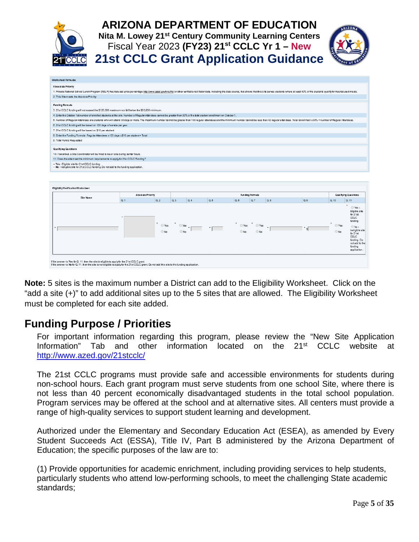|                           | <b>ARIZONA DEPARTMENT OF EDUCATION</b><br>Nita M. Lowey 21 <sup>st</sup> Century Community Learning Centers<br>Fiscal Year 2023 (FY23) 21 <sup>st</sup> CCLC Yr 1 - New<br><b>21st CCLC Grant Application Guidance</b>         |  |
|---------------------------|--------------------------------------------------------------------------------------------------------------------------------------------------------------------------------------------------------------------------------|--|
| <b>Worksheet Formulas</b> |                                                                                                                                                                                                                                |  |
| <b>Abosolute Priority</b> |                                                                                                                                                                                                                                |  |
|                           | 1. Provide National School Lunch Program (NSLP) fee/reduced-price percentage http://www.azed.gov/nns/frp/or other verifiable risk factor data, including the data source, that shows that this site serves students where atle |  |

| <b>Funding Formula</b>                                                                                                                                                                                                         |                                            |     |     |                                                                                      |     |     |                          |     |     |      |                                       |
|--------------------------------------------------------------------------------------------------------------------------------------------------------------------------------------------------------------------------------|--------------------------------------------|-----|-----|--------------------------------------------------------------------------------------|-----|-----|--------------------------|-----|-----|------|---------------------------------------|
| 3.21stCCLC funding will not exceed the \$120,000 maximum nor fall below the \$50,000 minimum.                                                                                                                                  |                                            |     |     |                                                                                      |     |     |                          |     |     |      |                                       |
| 4. Enter the October 1st number of enrolled students at the site. Number of Requiar Attendees cannot be greater than 30% of the total student enrollment on October 1.                                                         |                                            |     |     |                                                                                      |     |     |                          |     |     |      |                                       |
| 5. Number of Regular Attendees are students who will attend 30 days or more. The maximum number cannot be greater than 100 regular attendees and the minimum number cannot be less than 42 regular attendees. Total Enrollment |                                            |     |     |                                                                                      |     |     |                          |     |     |      |                                       |
| 6.21stCCLC funding will be based on 120 days of service per year.                                                                                                                                                              |                                            |     |     |                                                                                      |     |     |                          |     |     |      |                                       |
| 7.21stCCLC funding will be based on \$10 per student.                                                                                                                                                                          |                                            |     |     |                                                                                      |     |     |                          |     |     |      |                                       |
| 8. Enter the Funding Formula. Regular Attendees x 120 days x \$10 per student= Total                                                                                                                                           |                                            |     |     |                                                                                      |     |     |                          |     |     |      |                                       |
| 9. Total Funds Requested                                                                                                                                                                                                       |                                            |     |     |                                                                                      |     |     |                          |     |     |      |                                       |
|                                                                                                                                                                                                                                |                                            |     |     |                                                                                      |     |     |                          |     |     |      |                                       |
| <b>Qualifying Questions</b>                                                                                                                                                                                                    |                                            |     |     |                                                                                      |     |     |                          |     |     |      |                                       |
| 10. Ifawarded, a Site Coordinator will be hired to be on site during center hours.                                                                                                                                             |                                            |     |     |                                                                                      |     |     |                          |     |     |      |                                       |
| 11. Does the site meet the minimum requirements to apply for 21st CCLC Funding?                                                                                                                                                |                                            |     |     |                                                                                      |     |     |                          |     |     |      |                                       |
| -- Yes - Eligible site for 21st CCLC funding.                                                                                                                                                                                  |                                            |     |     |                                                                                      |     |     |                          |     |     |      |                                       |
|                                                                                                                                                                                                                                |                                            |     |     | -- No-Ineligible site for 21 st CCLC funding. Do not add to the funding application. |     |     |                          |     |     |      |                                       |
|                                                                                                                                                                                                                                |                                            |     |     |                                                                                      |     |     |                          |     |     |      |                                       |
|                                                                                                                                                                                                                                |                                            |     |     |                                                                                      |     |     |                          |     |     |      |                                       |
|                                                                                                                                                                                                                                |                                            |     |     |                                                                                      |     |     |                          |     |     |      |                                       |
| Eligibility Ve rification Work sheet                                                                                                                                                                                           |                                            |     |     |                                                                                      |     |     |                          |     |     |      |                                       |
|                                                                                                                                                                                                                                |                                            |     |     |                                                                                      |     |     |                          |     |     |      |                                       |
| Site Name                                                                                                                                                                                                                      | <b>Absolute Priority</b><br>Q <sub>1</sub> | Q.2 | Q.3 | Q.4                                                                                  | Q.5 | Q.6 | Funding Form ula<br>Q, 7 | Q.8 | Q.9 | Q.10 | <b>Qualifying Que stions</b><br>Q, 11 |

If the answer is Yes for Q. 11, then the site is eligible to apply for the 21st CCLC grant.<br>If the answer is No for Q. 11, then the site is noteligible to apply for the 21st CCLC grant. Do not add this site to the

**Note:** 5 sites is the maximum number a District can add to the Eligibility Worksheet. Click on the "add a site (+)" to add additional sites up to the 5 sites that are allowed. The Eligibility Worksheet must be completed for each site added.

# <span id="page-5-0"></span>**Funding Purpose / Priorities**

For important information regarding this program, please review the "New Site Application Information" Tab and other information located on the  $21<sup>st</sup>$  CCLC website at <http://www.azed.gov/21stcclc/>

The 21st CCLC programs must provide safe and accessible environments for students during non-school hours. Each grant program must serve students from one school Site, where there is not less than 40 percent economically disadvantaged students in the total school population. Program services may be offered at the school and at alternative sites. All centers must provide a range of high-quality services to support student learning and development.

Authorized under the Elementary and Secondary Education Act (ESEA), as amended by Every Student Succeeds Act (ESSA), Title IV, Part B administered by the Arizona Department of Education; the specific purposes of the law are to:

(1) Provide opportunities for academic enrichment, including providing services to help students, particularly students who attend low-performing schools, to meet the challenging State academic standards;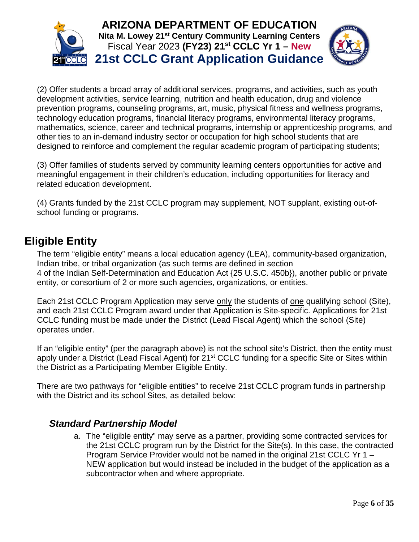



(2) Offer students a broad array of additional services, programs, and activities, such as youth development activities, service learning, nutrition and health education, drug and violence prevention programs, counseling programs, art, music, physical fitness and wellness programs, technology education programs, financial literacy programs, environmental literacy programs, mathematics, science, career and technical programs, internship or apprenticeship programs, and other ties to an in-demand industry sector or occupation for high school students that are designed to reinforce and complement the regular academic program of participating students;

(3) Offer families of students served by community learning centers opportunities for active and meaningful engagement in their children's education, including opportunities for literacy and related education development.

(4) Grants funded by the 21st CCLC program may supplement, NOT supplant, existing out-ofschool funding or programs.

# <span id="page-6-0"></span>**Eligible Entity**

The term "eligible entity" means a local education agency (LEA), community-based organization, Indian tribe, or tribal organization (as such terms are defined in section 4 of the Indian Self-Determination and Education Act {25 U.S.C. 450b}), another public or private entity, or consortium of 2 or more such agencies, organizations, or entities.

Each 21st CCLC Program Application may serve only the students of one qualifying school (Site), and each 21st CCLC Program award under that Application is Site-specific. Applications for 21st CCLC funding must be made under the District (Lead Fiscal Agent) which the school (Site) operates under.

If an "eligible entity" (per the paragraph above) is not the school site's District, then the entity must apply under a District (Lead Fiscal Agent) for 21<sup>st</sup> CCLC funding for a specific Site or Sites within the District as a Participating Member Eligible Entity.

There are two pathways for "eligible entities" to receive 21st CCLC program funds in partnership with the District and its school Sites, as detailed below:

## <span id="page-6-1"></span>*Standard Partnership Model*

a. The "eligible entity" may serve as a partner, providing some contracted services for the 21st CCLC program run by the District for the Site(s). In this case, the contracted Program Service Provider would not be named in the original 21st CCLC Yr 1 – NEW application but would instead be included in the budget of the application as a subcontractor when and where appropriate.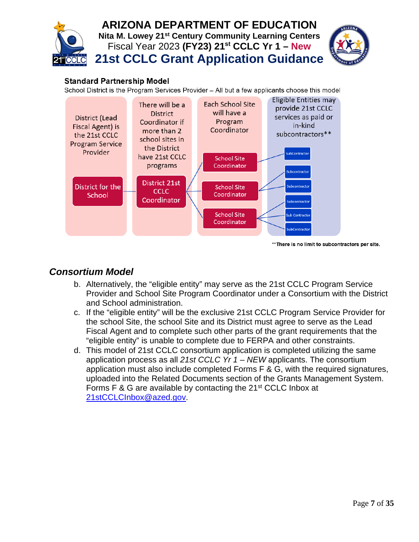

#### **Standard Partnership Model**

School District is the Program Services Provider - All but a few applicants choose this model



\*\* There is no limit to subcontractors per site.

### <span id="page-7-0"></span>*Consortium Model*

- b. Alternatively, the "eligible entity" may serve as the 21st CCLC Program Service Provider and School Site Program Coordinator under a Consortium with the District and School administration.
- c. If the "eligible entity" will be the exclusive 21st CCLC Program Service Provider for the school Site, the school Site and its District must agree to serve as the Lead Fiscal Agent and to complete such other parts of the grant requirements that the "eligible entity" is unable to complete due to FERPA and other constraints.
- d. This model of 21st CCLC consortium application is completed utilizing the same application process as all *21st CCLC Yr 1 – NEW* applicants. The consortium application must also include completed Forms F & G, with the required signatures, uploaded into the Related Documents section of the Grants Management System. Forms F & G are available by contacting the 21<sup>st</sup> CCLC Inbox at [21stCCLCInbox@azed.gov.](mailto:21stCCLCInbox@azed.gov)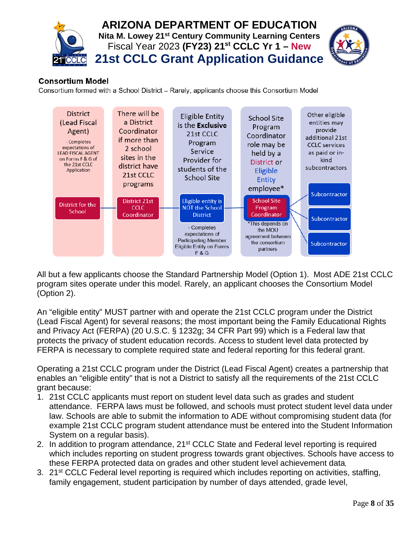

#### **Consortium Model**

Consortium formed with a School District - Rarely, applicants choose this Consortium Model



All but a few applicants choose the Standard Partnership Model (Option 1). Most ADE 21st CCLC program sites operate under this model. Rarely, an applicant chooses the Consortium Model (Option 2).

An "eligible entity" MUST partner with and operate the 21st CCLC program under the District (Lead Fiscal Agent) for several reasons; the most important being the Family Educational Rights and Privacy Act (FERPA) (20 U.S.C. § 1232g; 34 CFR Part 99) which is a Federal law that protects the privacy of student education records. Access to student level data protected by FERPA is necessary to complete required state and federal reporting for this federal grant.

Operating a 21st CCLC program under the District (Lead Fiscal Agent) creates a partnership that enables an "eligible entity" that is not a District to satisfy all the requirements of the 21st CCLC grant because:

- 1. 21st CCLC applicants must report on student level data such as grades and student attendance. FERPA laws must be followed, and schools must protect student level data under law. Schools are able to submit the information to ADE without compromising student data (for example 21st CCLC program student attendance must be entered into the Student Information System on a regular basis).
- 2. In addition to program attendance, 21<sup>st</sup> CCLC State and Federal level reporting is required which includes reporting on student progress towards grant objectives. Schools have access to these FERPA protected data on grades and other student level achievement data,
- 3. 21<sup>st</sup> CCLC Federal level reporting is required which includes reporting on activities, staffing, family engagement, student participation by number of days attended, grade level,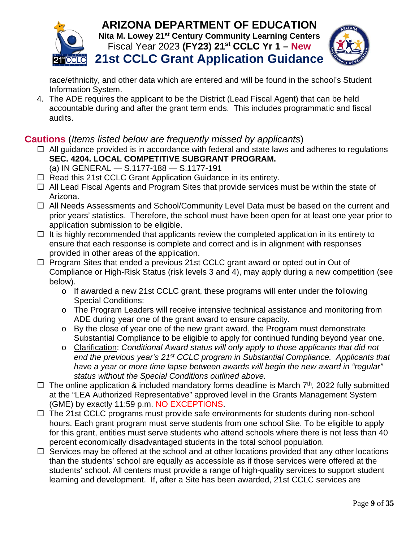



race/ethnicity, and other data which are entered and will be found in the school's Student Information System.

4. The ADE requires the applicant to be the District (Lead Fiscal Agent) that can be held accountable during and after the grant term ends. This includes programmatic and fiscal audits.

## <span id="page-9-0"></span>**Cautions** (*Items listed below are frequently missed by applicants*)

- $\Box$  All guidance provided is in accordance with federal and state laws and adheres to regulations **SEC. 4204. LOCAL COMPETITIVE SUBGRANT PROGRAM.**  (a) IN GENERAL — S.1177-188 — S.1177-191
- $\Box$  Read this 21st CCLC Grant Application Guidance in its entirety.
- $\Box$  All Lead Fiscal Agents and Program Sites that provide services must be within the state of Arizona.
- $\Box$  All Needs Assessments and School/Community Level Data must be based on the current and prior years' statistics. Therefore, the school must have been open for at least one year prior to application submission to be eligible.
- $\Box$  It is highly recommended that applicants review the completed application in its entirety to ensure that each response is complete and correct and is in alignment with responses provided in other areas of the application.
- $\Box$  Program Sites that ended a previous 21st CCLC grant award or opted out in Out of Compliance or High-Risk Status (risk levels 3 and 4), may apply during a new competition (see below).
	- o If awarded a new 21st CCLC grant, these programs will enter under the following Special Conditions:
	- o The Program Leaders will receive intensive technical assistance and monitoring from ADE during year one of the grant award to ensure capacity.
	- o By the close of year one of the new grant award, the Program must demonstrate Substantial Compliance to be eligible to apply for continued funding beyond year one.
	- o Clarification: *Conditional Award status will only apply to those applicants that did not end the previous year's 21st CCLC program in Substantial Compliance. Applicants that have a year or more time lapse between awards will begin the new award in "regular" status without the Special Conditions outlined above.*
- $\Box$  The online application & included mandatory forms deadline is March  $7<sup>th</sup>$ , 2022 fully submitted at the "LEA Authorized Representative" approved level in the Grants Management System (GME) by exactly 11:59 p.m. NO EXCEPTIONS.
- $\Box$  The 21st CCLC programs must provide safe environments for students during non-school hours. Each grant program must serve students from one school Site. To be eligible to apply for this grant, entities must serve students who attend schools where there is not less than 40 percent economically disadvantaged students in the total school population.
- $\Box$  Services may be offered at the school and at other locations provided that any other locations than the students' school are equally as accessible as if those services were offered at the students' school. All centers must provide a range of high-quality services to support student learning and development. If, after a Site has been awarded, 21st CCLC services are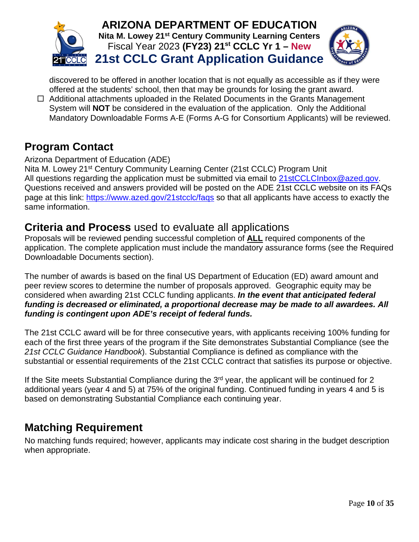

discovered to be offered in another location that is not equally as accessible as if they were offered at the students' school, then that may be grounds for losing the grant award.

 $\Box$  Additional attachments uploaded in the Related Documents in the Grants Management System will **NOT** be considered in the evaluation of the application. Only the Additional Mandatory Downloadable Forms A-E (Forms A-G for Consortium Applicants) will be reviewed.

# <span id="page-10-0"></span>**Program Contact**

#### Arizona Department of Education (ADE)

Nita M. Lowey 21<sup>st</sup> Century Community Learning Center (21st CCLC) Program Unit All questions regarding the application must be submitted via email to [21stCCLCInbox@azed.gov.](mailto:21stCCLCInbox@azed.gov) Questions received and answers provided will be posted on the ADE 21st CCLC website on its FAQs page at this link:<https://www.azed.gov/21stcclc/faqs> so that all applicants have access to exactly the same information.

## <span id="page-10-1"></span>**Criteria and Process** used to evaluate all applications

Proposals will be reviewed pending successful completion of **ALL** required components of the application. The complete application must include the mandatory assurance forms (see the Required Downloadable Documents section).

The number of awards is based on the final US Department of Education (ED) award amount and peer review scores to determine the number of proposals approved. Geographic equity may be considered when awarding 21st CCLC funding applicants. *In the event that anticipated federal funding is decreased or eliminated, a proportional decrease may be made to all awardees. All funding is contingent upon ADE's receipt of federal funds.*

The 21st CCLC award will be for three consecutive years, with applicants receiving 100% funding for each of the first three years of the program if the Site demonstrates Substantial Compliance (see the *21st CCLC Guidance Handbook*). Substantial Compliance is defined as compliance with the substantial or essential requirements of the 21st CCLC contract that satisfies its purpose or objective.

If the Site meets Substantial Compliance during the 3<sup>rd</sup> year, the applicant will be continued for 2 additional years (year 4 and 5) at 75% of the original funding. Continued funding in years 4 and 5 is based on demonstrating Substantial Compliance each continuing year.

# <span id="page-10-2"></span>**Matching Requirement**

No matching funds required; however, applicants may indicate cost sharing in the budget description when appropriate.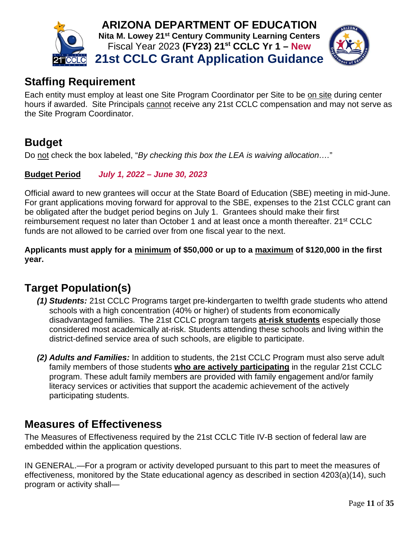

# <span id="page-11-0"></span>**Staffing Requirement**

Each entity must employ at least one Site Program Coordinator per Site to be on site during center hours if awarded. Site Principals cannot receive any 21st CCLC compensation and may not serve as the Site Program Coordinator.

# <span id="page-11-1"></span>**Budget**

Do not check the box labeled, "*By checking this box the LEA is waiving allocation….*"

**Budget Period** *July 1, 2022 – June 30, 2023*

Official award to new grantees will occur at the State Board of Education (SBE) meeting in mid-June. For grant applications moving forward for approval to the SBE, expenses to the 21st CCLC grant can be obligated after the budget period begins on July 1. Grantees should make their first reimbursement request no later than October 1 and at least once a month thereafter. 21<sup>st</sup> CCLC funds are not allowed to be carried over from one fiscal year to the next.

**Applicants must apply for a minimum of \$50,000 or up to a maximum of \$120,000 in the first year.**

# <span id="page-11-2"></span>**Target Population(s)**

- *(1) Students:* 21st CCLC Programs target pre-kindergarten to twelfth grade students who attend schools with a high concentration (40% or higher) of students from economically disadvantaged families. The 21st CCLC program targets **at-risk students** especially those considered most academically at-risk. Students attending these schools and living within the district-defined service area of such schools, are eligible to participate.
- *(2) Adults and Families:* In addition to students, the 21st CCLC Program must also serve adult family members of those students **who are actively participating** in the regular 21st CCLC program. These adult family members are provided with family engagement and/or family literacy services or activities that support the academic achievement of the actively participating students.

# <span id="page-11-3"></span>**Measures of Effectiveness**

The Measures of Effectiveness required by the 21st CCLC Title IV-B section of federal law are embedded within the application questions.

IN GENERAL.—For a program or activity developed pursuant to this part to meet the measures of effectiveness, monitored by the State educational agency as described in section 4203(a)(14), such program or activity shall—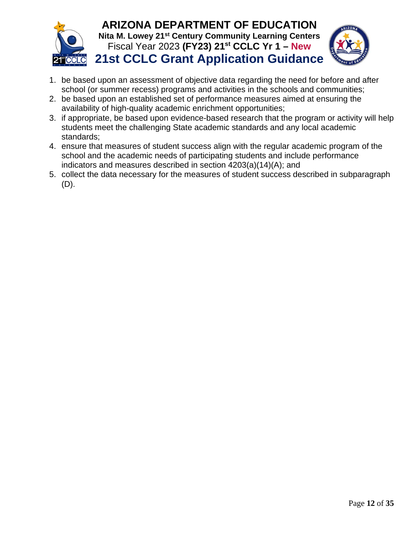



- 1. be based upon an assessment of objective data regarding the need for before and after school (or summer recess) programs and activities in the schools and communities;
- 2. be based upon an established set of performance measures aimed at ensuring the availability of high-quality academic enrichment opportunities;
- 3. if appropriate, be based upon evidence-based research that the program or activity will help students meet the challenging State academic standards and any local academic standards;
- 4. ensure that measures of student success align with the regular academic program of the school and the academic needs of participating students and include performance indicators and measures described in section 4203(a)(14)(A); and
- 5. collect the data necessary for the measures of student success described in subparagraph (D).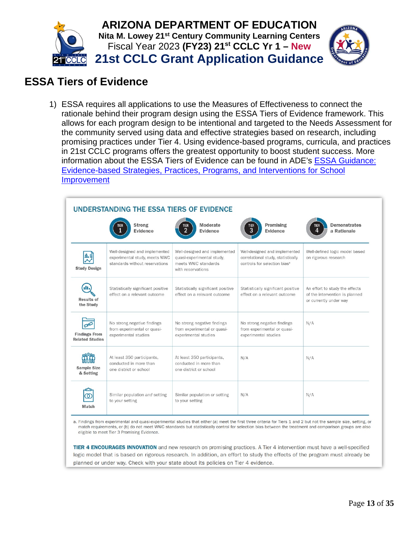

# <span id="page-13-0"></span>**ESSA Tiers of Evidence**

1) ESSA requires all applications to use the Measures of Effectiveness to connect the rationale behind their program design using the ESSA Tiers of Evidence framework. This allows for each program design to be intentional and targeted to the Needs Assessment for the community served using data and effective strategies based on research, including promising practices under Tier 4. Using evidence-based programs, curricula, and practices in 21st CCLC programs offers the greatest opportunity to boost student success. More information about the ESSA Tiers of Evidence can be found in ADE's [ESSA Guidance:](https://live-az-ade.pantheonsite.io/sites/default/files/2021/10/2021-22-ESSA%20Evidence%20Based%20Requirements%20and%20Resource%20Guidance%20editied%20for%20ESSER%20.9.1.2021.pdf)  [Evidence-based Strategies, Practices, Programs, and Interventions for School](https://live-az-ade.pantheonsite.io/sites/default/files/2021/10/2021-22-ESSA%20Evidence%20Based%20Requirements%20and%20Resource%20Guidance%20editied%20for%20ESSER%20.9.1.2021.pdf)  [Improvement](https://live-az-ade.pantheonsite.io/sites/default/files/2021/10/2021-22-ESSA%20Evidence%20Based%20Requirements%20and%20Resource%20Guidance%20editied%20for%20ESSER%20.9.1.2021.pdf)

| UNDERSTANDING THE ESSA TIERS OF EVIDENCE               |                                                                                                  |                                                                                                        |                                                                                                                 |                                                                                            |  |
|--------------------------------------------------------|--------------------------------------------------------------------------------------------------|--------------------------------------------------------------------------------------------------------|-----------------------------------------------------------------------------------------------------------------|--------------------------------------------------------------------------------------------|--|
|                                                        | <b>Strong</b><br>Evidence                                                                        | Moderate<br>TIER<br>2<br><b>Evidence</b>                                                               | Promising<br>tier<br>3<br><b>Evidence</b>                                                                       | <b>Demonstrates</b><br><b>TIER</b><br>a Rationale                                          |  |
| <b>Study Design</b>                                    | Well-designed and implemented<br>experimental study, meets WWC<br>standards without reservations | Well-designed and implemented<br>quasi-experimental study,<br>meets WWC standards<br>with reservations | Well-designed and implemented<br>correlational study, statistically<br>controls for selection bias <sup>a</sup> | Well-defined logic model based<br>on rigorous research                                     |  |
| <b>Results of</b><br>the Study                         | Statistically significant positive<br>effect on a relevant outcome                               | Statistically significant positive<br>effect on a relevant outcome                                     | Statistically significant positive<br>effect on a relevant outcome                                              | An effort to study the effects<br>of the intervention is planned<br>or currently under way |  |
| يجهى<br><b>Findings From</b><br><b>Related Studies</b> | No strong negative findings<br>from experimental or quasi-<br>experimental studies               | No strong negative findings<br>from experimental or quasi-<br>experimental studies                     | No strong negative findings<br>from experimental or quasi-<br>experimental studies                              | N/A                                                                                        |  |
| <b>Sample Size</b><br>& Setting                        | At least 350 participants,<br>conducted in more than<br>one district or school                   | At least 350 participants,<br>conducted in more than<br>one district or school                         | N/A                                                                                                             | N/A                                                                                        |  |
| Match                                                  | Similar population and setting<br>to your setting                                                | Similar population or setting<br>to your setting                                                       | N/A                                                                                                             | N/A                                                                                        |  |

a. Findings from experimental and quasi-experimental studies that either (a) meet the first three criteria for Tiers 1 and 2 but not the sample size, setting, or match requirements, or (b) do not meet WWC standards but statistically control for selection bias between the treatment and comparison groups are also eligible to meet Tier 3 Promising Evidence.

TIER 4 ENCOURAGES INNOVATION and new research on promising practices. A Tier 4 intervention must have a well-specified logic model that is based on rigorous research. In addition, an effort to study the effects of the program must already be planned or under way. Check with your state about its policies on Tier 4 evidence.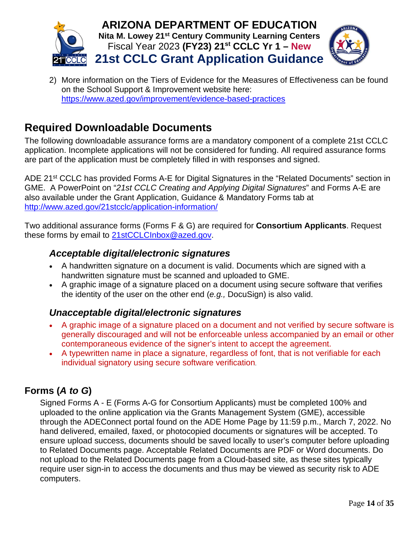



2) More information on the Tiers of Evidence for the Measures of Effectiveness can be found on the School Support & Improvement website here: <https://www.azed.gov/improvement/evidence-based-practices>

# <span id="page-14-0"></span>**Required Downloadable Documents**

The following downloadable assurance forms are a mandatory component of a complete 21st CCLC application. Incomplete applications will not be considered for funding. All required assurance forms are part of the application must be completely filled in with responses and signed.

ADE 21<sup>st</sup> CCLC has provided Forms A-E for Digital Signatures in the "Related Documents" section in GME. A PowerPoint on "*21st CCLC Creating and Applying Digital Signatures*" and Forms A-E are also available under the Grant Application, Guidance & Mandatory Forms tab at [http://www.azed.gov/21stcclc/application-information/](https://www.azed.gov/21stcclc/application-information/)

<span id="page-14-1"></span>Two additional assurance forms (Forms F & G) are required for **Consortium Applicants**. Request these forms by email to [21stCCLCInbox@azed.gov.](mailto:21stCCLCInbox@azed.gov)

## *Acceptable digital/electronic signatures*

- A handwritten signature on a document is valid. Documents which are signed with a handwritten signature must be scanned and uploaded to GME.
- A graphic image of a signature placed on a document using secure software that verifies the identity of the user on the other end (*e.g.,* DocuSign) is also valid.

## <span id="page-14-2"></span>*Unacceptable digital/electronic signatures*

- A graphic image of a signature placed on a document and not verified by secure software is generally discouraged and will not be enforceable unless accompanied by an email or other contemporaneous evidence of the signer's intent to accept the agreement.
- A typewritten name in place a signature, regardless of font, that is not verifiable for each individual signatory using secure software verification.

## <span id="page-14-3"></span>**Forms (***A to G***)**

Signed Forms A - E (Forms A-G for Consortium Applicants) must be completed 100% and uploaded to the online application via the Grants Management System (GME), accessible through the ADEConnect portal found on the ADE Home Page by 11:59 p.m., March 7, 2022. No hand delivered, emailed, faxed, or photocopied documents or signatures will be accepted. To ensure upload success, documents should be saved locally to user's computer before uploading to Related Documents page. Acceptable Related Documents are PDF or Word documents. Do not upload to the Related Documents page from a Cloud-based site, as these sites typically require user sign-in to access the documents and thus may be viewed as security risk to ADE computers.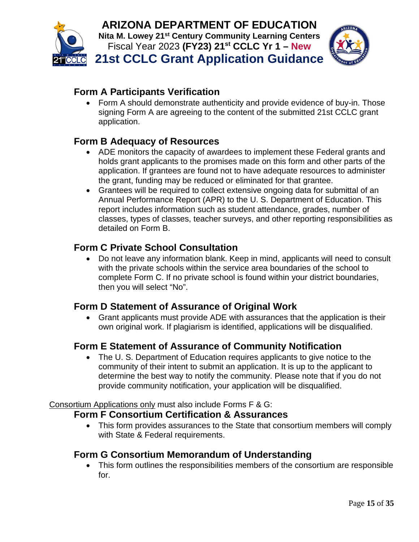



# **Form A Participants Verification**

• Form A should demonstrate authenticity and provide evidence of buy-in. Those signing Form A are agreeing to the content of the submitted 21st CCLC grant application.

# **Form B Adequacy of Resources**

- ADE monitors the capacity of awardees to implement these Federal grants and holds grant applicants to the promises made on this form and other parts of the application. If grantees are found not to have adequate resources to administer the grant, funding may be reduced or eliminated for that grantee.
- Grantees will be required to collect extensive ongoing data for submittal of an Annual Performance Report (APR) to the U. S. Department of Education. This report includes information such as student attendance, grades, number of classes, types of classes, teacher surveys, and other reporting responsibilities as detailed on Form B.

# **Form C Private School Consultation**

• Do not leave any information blank. Keep in mind, applicants will need to consult with the private schools within the service area boundaries of the school to complete Form C. If no private school is found within your district boundaries, then you will select "No".

# **Form D Statement of Assurance of Original Work**

• Grant applicants must provide ADE with assurances that the application is their own original work. If plagiarism is identified, applications will be disqualified.

# **Form E Statement of Assurance of Community Notification**

• The U. S. Department of Education requires applicants to give notice to the community of their intent to submit an application. It is up to the applicant to determine the best way to notify the community. Please note that if you do not provide community notification, your application will be disqualified.

Consortium Applications only must also include Forms F & G:

## **Form F Consortium Certification & Assurances**

• This form provides assurances to the State that consortium members will comply with State & Federal requirements.

# **Form G Consortium Memorandum of Understanding**

• This form outlines the responsibilities members of the consortium are responsible for.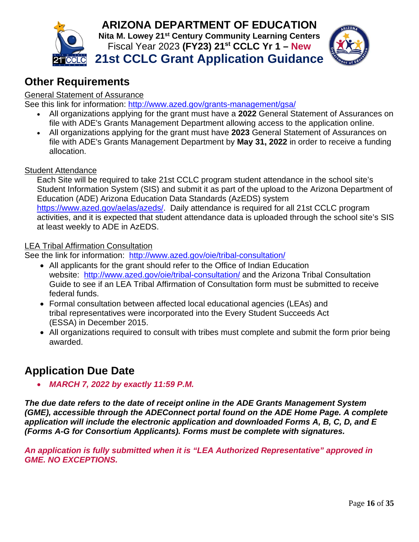



# <span id="page-16-0"></span>**Other Requirements**

#### General Statement of Assurance

See this link for information: <http://www.azed.gov/grants-management/gsa/>

- All organizations applying for the grant must have a **2022** General Statement of Assurances on file with ADE's Grants Management Department allowing access to the application online.
- All organizations applying for the grant must have **2023** General Statement of Assurances on file with ADE's Grants Management Department by **May 31, 2022** in order to receive a funding allocation.

#### Student Attendance

Each Site will be required to take 21st CCLC program student attendance in the school site's Student Information System (SIS) and submit it as part of the upload to the Arizona Department of Education (ADE) Arizona Education Data Standards (AzEDS) system [https://www.azed.gov/aelas/azeds/.](https://www.azed.gov/aelas/azeds/) Daily attendance is required for all 21st CCLC program activities, and it is expected that student attendance data is uploaded through the school site's SIS at least weekly to ADE in AzEDS.

#### LEA Tribal Affirmation Consultation

See the link for information: <http://www.azed.gov/oie/tribal-consultation/>

- All applicants for the grant should refer to the Office of Indian Education website: <http://www.azed.gov/oie/tribal-consultation/> and the Arizona Tribal Consultation Guide to see if an LEA Tribal Affirmation of Consultation form must be submitted to receive federal funds.
- Formal consultation between affected local educational agencies (LEAs) and tribal representatives were incorporated into the Every Student Succeeds Act (ESSA) in December 2015.
- All organizations required to consult with tribes must complete and submit the form prior being awarded.

# <span id="page-16-1"></span>**Application Due Date**

• *MARCH 7, 2022 by exactly 11:59 P.M.*

*The due date refers to the date of receipt online in the ADE Grants Management System (GME), accessible through the ADEConnect portal found on the ADE Home Page. A complete application will include the electronic application and downloaded Forms A, B, C, D, and E (Forms A-G for Consortium Applicants). Forms must be complete with signatures.*

*An application is fully submitted when it is "LEA Authorized Representative" approved in GME. NO EXCEPTIONS.*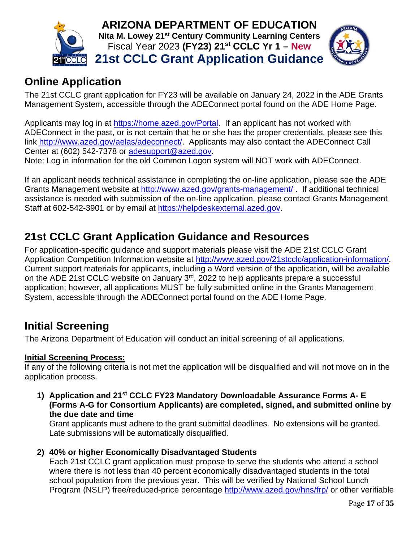



# <span id="page-17-0"></span>**Online Application**

The 21st CCLC grant application for FY23 will be available on January 24, 2022 in the ADE Grants Management System, accessible through the ADEConnect portal found on the ADE Home Page.

Applicants may log in at [https://home.azed.gov/Portal.](https://home.azed.gov/Portal) If an applicant has not worked with ADEConnect in the past, or is not certain that he or she has the proper credentials, please see this link [http://www.azed.gov/aelas/adeconnect/.](http://www.azed.gov/aelas/adeconnect/) Applicants may also contact the ADEConnect Call Center at (602) 542-7378 or [adesupport@azed.gov.](mailto:adesupport@azed.gov)

Note: Log in information for the old Common Logon system will NOT work with ADEConnect.

If an applicant needs technical assistance in completing the on-line application, please see the ADE Grants Management website at <http://www.azed.gov/grants-management/> . If additional technical assistance is needed with submission of the on-line application, please contact Grants Management Staff at 602-542-3901 or by email at [https://helpdeskexternal.azed.gov.](https://helpdeskexternal.azed.gov/)

# <span id="page-17-1"></span>**21st CCLC Grant Application Guidance and Resources**

For application-specific guidance and support materials please visit the ADE 21st CCLC Grant Application Competition Information website at [http://www.azed.gov/21stcclc/application-information/.](http://www.azed.gov/21stcclc/application-information/) Current support materials for applicants, including a Word version of the application, will be available on the ADE 21st CCLC website on January 3<sup>rd</sup>, 2022 to help applicants prepare a successful application; however, all applications MUST be fully submitted online in the Grants Management System, accessible through the ADEConnect portal found on the ADE Home Page.

# <span id="page-17-2"></span>**Initial Screening**

The Arizona Department of Education will conduct an initial screening of all applications.

## **Initial Screening Process:**

If any of the following criteria is not met the application will be disqualified and will not move on in the application process.

**1) Application and 21st CCLC FY23 Mandatory Downloadable Assurance Forms A- E (Forms A-G for Consortium Applicants) are completed, signed, and submitted online by the due date and time**

Grant applicants must adhere to the grant submittal deadlines. No extensions will be granted. Late submissions will be automatically disqualified.

**2) 40% or higher Economically Disadvantaged Students**

Each 21st CCLC grant application must propose to serve the students who attend a school where there is not less than 40 percent economically disadvantaged students in the total school population from the previous year. This will be verified by National School Lunch Program (NSLP) free/reduced-price percentage<http://www.azed.gov/hns/frp/> or other verifiable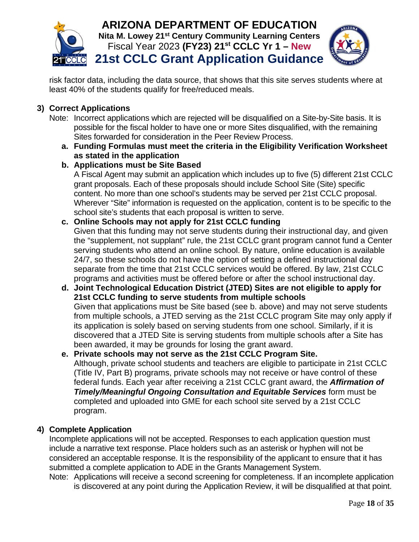



risk factor data, including the data source, that shows that this site serves students where at least 40% of the students qualify for free/reduced meals.

#### **3) Correct Applications**

- Note: Incorrect applications which are rejected will be disqualified on a Site-by-Site basis. It is possible for the fiscal holder to have one or more Sites disqualified, with the remaining Sites forwarded for consideration in the Peer Review Process.
	- **a. Funding Formulas must meet the criteria in the Eligibility Verification Worksheet as stated in the application**

#### **b. Applications must be Site Based**

A Fiscal Agent may submit an application which includes up to five (5) different 21st CCLC grant proposals. Each of these proposals should include School Site (Site) specific content. No more than one school's students may be served per 21st CCLC proposal. Wherever "Site" information is requested on the application, content is to be specific to the school site's students that each proposal is written to serve.

#### **c. Online Schools may not apply for 21st CCLC funding**

Given that this funding may not serve students during their instructional day, and given the "supplement, not supplant" rule, the 21st CCLC grant program cannot fund a Center serving students who attend an online school. By nature, online education is available 24/7, so these schools do not have the option of setting a defined instructional day separate from the time that 21st CCLC services would be offered. By law, 21st CCLC programs and activities must be offered before or after the school instructional day.

**d. Joint Technological Education District (JTED) Sites are not eligible to apply for 21st CCLC funding to serve students from multiple schools** Given that applications must be Site based (see b. above) and may not serve students from multiple schools, a JTED serving as the 21st CCLC program Site may only apply if its application is solely based on serving students from one school. Similarly, if it is discovered that a JTED Site is serving students from multiple schools after a Site has been awarded, it may be grounds for losing the grant award.

#### **e. Private schools may not serve as the 21st CCLC Program Site.** Although, private school students and teachers are eligible to participate in 21st CCLC (Title IV, Part B) programs, private schools may not receive or have control of these federal funds. Each year after receiving a 21st CCLC grant award, the *Affirmation of Timely/Meaningful Ongoing Consultation and Equitable Services* form must be completed and uploaded into GME for each school site served by a 21st CCLC program.

#### **4) Complete Application**

Incomplete applications will not be accepted. Responses to each application question must include a narrative text response. Place holders such as an asterisk or hyphen will not be considered an acceptable response. It is the responsibility of the applicant to ensure that it has submitted a complete application to ADE in the Grants Management System.

Note: Applications will receive a second screening for completeness. If an incomplete application is discovered at any point during the Application Review, it will be disqualified at that point.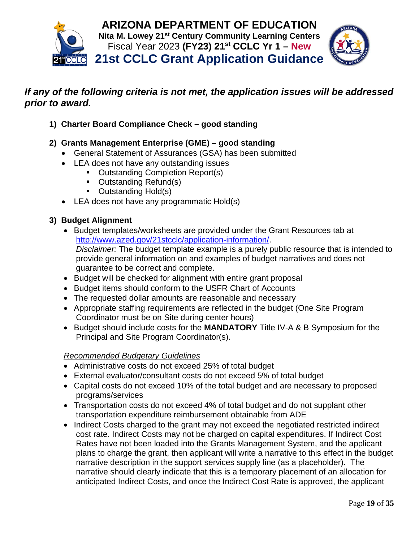

## *If any of the following criteria is not met, the application issues will be addressed prior to award.*

- **1) Charter Board Compliance Check – good standing**
- **2) Grants Management Enterprise (GME) – good standing**
	- General Statement of Assurances (GSA) has been submitted
	- LEA does not have any outstanding issues
		- Outstanding Completion Report(s)
		- **Outstanding Refund(s)**
		- Outstanding Hold(s)
	- LEA does not have any programmatic Hold(s)

#### **3) Budget Alignment**

- Budget templates/worksheets are provided under the Grant Resources tab at [http://www.azed.gov/21stcclc/application-information/.](https://www.azed.gov/21stcclc/application-information/) *Disclaimer:* The budget template example is a purely public resource that is intended to provide general information on and examples of budget narratives and does not guarantee to be correct and complete.
- Budget will be checked for alignment with entire grant proposal
- Budget items should conform to the USFR Chart of Accounts
- The requested dollar amounts are reasonable and necessary
- Appropriate staffing requirements are reflected in the budget (One Site Program Coordinator must be on Site during center hours)
- Budget should include costs for the **MANDATORY** Title IV-A & B Symposium for the Principal and Site Program Coordinator(s).

#### *Recommended Budgetary Guidelines*

- Administrative costs do not exceed 25% of total budget
- External evaluator/consultant costs do not exceed 5% of total budget
- Capital costs do not exceed 10% of the total budget and are necessary to proposed programs/services
- Transportation costs do not exceed 4% of total budget and do not supplant other transportation expenditure reimbursement obtainable from ADE
- Indirect Costs charged to the grant may not exceed the negotiated restricted indirect cost rate. Indirect Costs may not be charged on capital expenditures. If Indirect Cost Rates have not been loaded into the Grants Management System, and the applicant plans to charge the grant, then applicant will write a narrative to this effect in the budget narrative description in the support services supply line (as a placeholder). The narrative should clearly indicate that this is a temporary placement of an allocation for anticipated Indirect Costs, and once the Indirect Cost Rate is approved, the applicant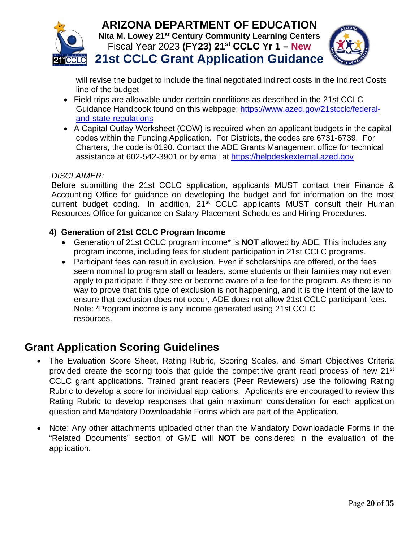



will revise the budget to include the final negotiated indirect costs in the Indirect Costs line of the budget

- Field trips are allowable under certain conditions as described in the 21st CCLC Guidance Handbook found on this webpage: [https://www.azed.gov/21stcclc/federal](https://www.azed.gov/21stcclc/federal-and-state-regulations)[and-state-regulations](https://www.azed.gov/21stcclc/federal-and-state-regulations)
- A Capital Outlay Worksheet (COW) is required when an applicant budgets in the capital codes within the Funding Application. For Districts, the codes are 6731-6739. For Charters, the code is 0190. Contact the ADE Grants Management office for technical assistance at 602-542-3901 or by email at [https://helpdeskexternal.azed.gov](https://helpdeskexternal.azed.gov/)

#### *DISCLAIMER:*

Before submitting the 21st CCLC application, applicants MUST contact their Finance & Accounting Office for guidance on developing the budget and for information on the most current budget coding. In addition, 21<sup>st</sup> CCLC applicants MUST consult their Human Resources Office for guidance on Salary Placement Schedules and Hiring Procedures.

#### **4) Generation of 21st CCLC Program Income**

- Generation of 21st CCLC program income\* is **NOT** allowed by ADE. This includes any program income, including fees for student participation in 21st CCLC programs.
- Participant fees can result in exclusion. Even if scholarships are offered, or the fees seem nominal to program staff or leaders, some students or their families may not even apply to participate if they see or become aware of a fee for the program. As there is no way to prove that this type of exclusion is not happening, and it is the intent of the law to ensure that exclusion does not occur, ADE does not allow 21st CCLC participant fees. Note: \*Program income is any income generated using 21st CCLC resources.

# <span id="page-20-0"></span>**Grant Application Scoring Guidelines**

- The Evaluation Score Sheet, Rating Rubric, Scoring Scales, and Smart Objectives Criteria provided create the scoring tools that guide the competitive grant read process of new 21<sup>st</sup> CCLC grant applications. Trained grant readers (Peer Reviewers) use the following Rating Rubric to develop a score for individual applications. Applicants are encouraged to review this Rating Rubric to develop responses that gain maximum consideration for each application question and Mandatory Downloadable Forms which are part of the Application.
- Note: Any other attachments uploaded other than the Mandatory Downloadable Forms in the "Related Documents" section of GME will **NOT** be considered in the evaluation of the application.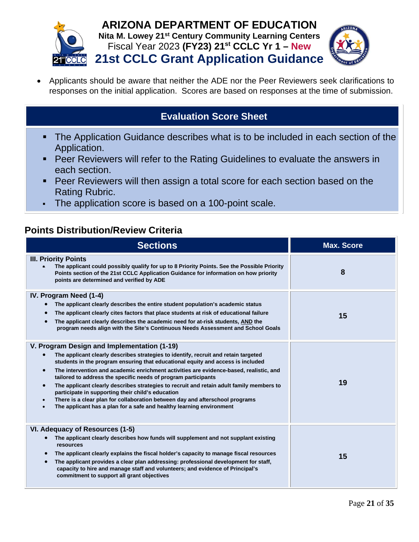



• Applicants should be aware that neither the ADE nor the Peer Reviewers seek clarifications to responses on the initial application. Scores are based on responses at the time of submission.

# **Evaluation Score Sheet**

- The Application Guidance describes what is to be included in each section of the Application.
- **Peer Reviewers will refer to the Rating Guidelines to evaluate the answers in** each section.
- Peer Reviewers will then assign a total score for each section based on the Rating Rubric.
- The application score is based on a 100-point scale.

# <span id="page-21-0"></span>**Points Distribution/Review Criteria**

| <b>Sections</b>                                                                                                                                                                                                                                                                                                                                                                                                                                                                                                                                                                                                                                                                                                                                             | <b>Max. Score</b> |
|-------------------------------------------------------------------------------------------------------------------------------------------------------------------------------------------------------------------------------------------------------------------------------------------------------------------------------------------------------------------------------------------------------------------------------------------------------------------------------------------------------------------------------------------------------------------------------------------------------------------------------------------------------------------------------------------------------------------------------------------------------------|-------------------|
| <b>III. Priority Points</b><br>The applicant could possibly qualify for up to 8 Priority Points. See the Possible Priority<br>Points section of the 21st CCLC Application Guidance for information on how priority<br>points are determined and verified by ADE                                                                                                                                                                                                                                                                                                                                                                                                                                                                                             | 8                 |
| IV. Program Need (1-4)<br>The applicant clearly describes the entire student population's academic status<br>The applicant clearly cites factors that place students at risk of educational failure<br>The applicant clearly describes the academic need for at-risk students, AND the<br>program needs align with the Site's Continuous Needs Assessment and School Goals                                                                                                                                                                                                                                                                                                                                                                                  | 15                |
| V. Program Design and Implementation (1-19)<br>The applicant clearly describes strategies to identify, recruit and retain targeted<br>$\bullet$<br>students in the program ensuring that educational equity and access is included<br>The intervention and academic enrichment activities are evidence-based, realistic, and<br>$\bullet$<br>tailored to address the specific needs of program participants<br>The applicant clearly describes strategies to recruit and retain adult family members to<br>$\bullet$<br>participate in supporting their child's education<br>There is a clear plan for collaboration between day and afterschool programs<br>$\bullet$<br>The applicant has a plan for a safe and healthy learning environment<br>$\bullet$ | 19                |
| VI. Adequacy of Resources (1-5)<br>The applicant clearly describes how funds will supplement and not supplant existing<br>resources<br>The applicant clearly explains the fiscal holder's capacity to manage fiscal resources<br>The applicant provides a clear plan addressing: professional development for staff,<br>capacity to hire and manage staff and volunteers; and evidence of Principal's<br>commitment to support all grant objectives                                                                                                                                                                                                                                                                                                         | 15                |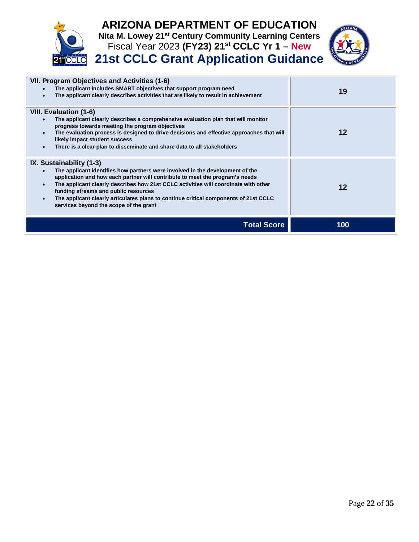

# **ARIZONA DEPARTMENT OF EDUCATION Nita M. Lowey 21st Century Community Learning Centers**

Fiscal Year 2023 **(FY23) 21st CCLC Yr 1 – New 21st CCLC Grant Application Guidance**

| VII. Program Objectives and Activities (1-6)<br>The applicant includes SMART objectives that support program need<br>The applicant clearly describes activities that are likely to result in achievement                                                                                                                                                                                                                                                   | 19  |
|------------------------------------------------------------------------------------------------------------------------------------------------------------------------------------------------------------------------------------------------------------------------------------------------------------------------------------------------------------------------------------------------------------------------------------------------------------|-----|
| <b>VIII. Evaluation (1-6)</b><br>The applicant clearly describes a comprehensive evaluation plan that will monitor<br>progress towards meeting the program objectives<br>The evaluation process is designed to drive decisions and effective approaches that will<br>likely impact student success<br>There is a clear plan to disseminate and share data to all stakeholders                                                                              | 12  |
| IX. Sustainability (1-3)<br>The applicant identifies how partners were involved in the development of the<br>application and how each partner will contribute to meet the program's needs<br>The applicant clearly describes how 21st CCLC activities will coordinate with other<br>funding streams and public resources<br>The applicant clearly articulates plans to continue critical components of 21st CCLC<br>services beyond the scope of the grant | 12  |
| Total Score                                                                                                                                                                                                                                                                                                                                                                                                                                                | 100 |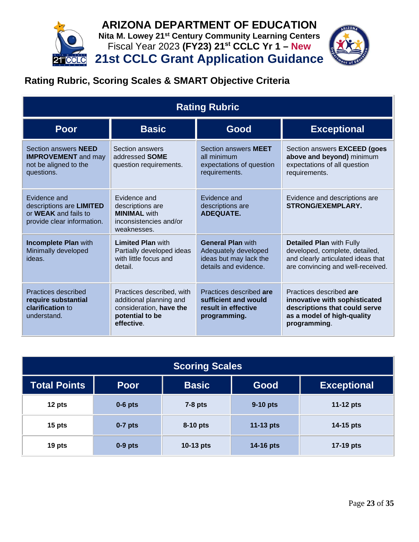



# <span id="page-23-0"></span>**Rating Rubric, Scoring Scales & SMART Objective Criteria**

| <b>Rating Rubric</b>                                                                                  |                                                                                                                  |                                                                                                     |                                                                                                                                              |  |
|-------------------------------------------------------------------------------------------------------|------------------------------------------------------------------------------------------------------------------|-----------------------------------------------------------------------------------------------------|----------------------------------------------------------------------------------------------------------------------------------------------|--|
| <b>Poor</b>                                                                                           | <b>Basic</b>                                                                                                     | Good                                                                                                | <b>Exceptional</b>                                                                                                                           |  |
| Section answers <b>NEED</b><br><b>IMPROVEMENT</b> and may<br>not be aligned to the<br>questions.      | Section answers<br>addressed <b>SOME</b><br>question requirements.                                               | Section answers <b>MEET</b><br>all minimum<br>expectations of question<br>requirements.             | Section answers <b>EXCEED</b> (goes<br>above and beyond) minimum<br>expectations of all question<br>requirements.                            |  |
| Evidence and<br>descriptions are LIMITED<br>or <b>WEAK</b> and fails to<br>provide clear information. | Evidence and<br>descriptions are<br><b>MINIMAL</b> with<br>inconsistencies and/or<br>weaknesses.                 | Evidence and<br>descriptions are<br><b>ADEQUATE.</b>                                                | Evidence and descriptions are<br><b>STRONG/EXEMPLARY.</b>                                                                                    |  |
| <b>Incomplete Plan with</b><br>Minimally developed<br>ideas.                                          | <b>Limited Plan with</b><br>Partially developed ideas<br>with little focus and<br>detail.                        | <b>General Plan with</b><br>Adequately developed<br>ideas but may lack the<br>details and evidence. | <b>Detailed Plan with Fully</b><br>developed, complete, detailed,<br>and clearly articulated ideas that<br>are convincing and well-received. |  |
| Practices described<br>require substantial<br>clarification to<br>understand.                         | Practices described, with<br>additional planning and<br>consideration, have the<br>potential to be<br>effective. | Practices described are<br>sufficient and would<br>result in effective<br>programming.              | Practices described are<br>innovative with sophisticated<br>descriptions that could serve<br>as a model of high-quality<br>programming.      |  |

| <b>Scoring Scales</b> |             |              |             |                    |
|-----------------------|-------------|--------------|-------------|--------------------|
| <b>Total Points</b>   | <b>Poor</b> | <b>Basic</b> | Good        | <b>Exceptional</b> |
| 12 pts                | $0-6$ pts   | $7-8$ pts    | 9-10 pts    | 11-12 $pts$        |
| 15 pts                | $0-7$ pts   | 8-10 pts     | 11-13 $pts$ | 14-15 pts          |
| 19 pts                | $0-9$ pts   | 10-13 pts    | 14-16 pts   | 17-19 pts          |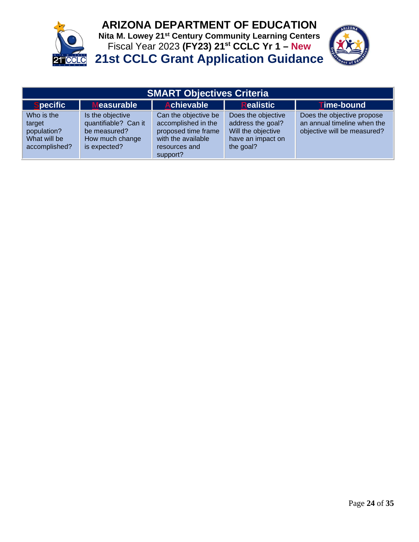

# **ARIZONA DEPARTMENT OF EDUCATION**

**Nita M. Lowey 21st Century Community Learning Centers** Fiscal Year 2023 **(FY23) 21st CCLC Yr 1 – New <u><b>PECLC**</u> 21st CCLC Grant Application Guidance



| <b>SMART Objectives Criteria</b>                                     |                                                                                             |                                                                                                                       |                                                                                                 |                                                                                          |  |
|----------------------------------------------------------------------|---------------------------------------------------------------------------------------------|-----------------------------------------------------------------------------------------------------------------------|-------------------------------------------------------------------------------------------------|------------------------------------------------------------------------------------------|--|
| <b>Specific</b>                                                      | <b>Measurable</b>                                                                           | <b>Achievable</b>                                                                                                     | <b>Realistic</b>                                                                                | <b>Time-bound</b>                                                                        |  |
| Who is the<br>target<br>population?<br>What will be<br>accomplished? | Is the objective<br>quantifiable? Can it<br>be measured?<br>How much change<br>is expected? | Can the objective be<br>accomplished in the<br>proposed time frame<br>with the available<br>resources and<br>support? | Does the objective<br>address the goal?<br>Will the objective<br>have an impact on<br>the goal? | Does the objective propose<br>an annual timeline when the<br>objective will be measured? |  |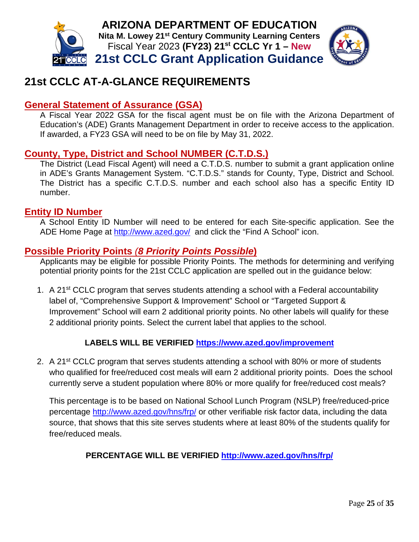



# <span id="page-25-0"></span>**21st CCLC AT-A-GLANCE REQUIREMENTS**

## **General Statement of Assurance (GSA)**

A Fiscal Year 2022 GSA for the fiscal agent must be on file with the Arizona Department of Education's (ADE) Grants Management Department in order to receive access to the application. If awarded, a FY23 GSA will need to be on file by May 31, 2022.

## **County, Type, District and School NUMBER (C.T.D.S.)**

The District (Lead Fiscal Agent) will need a C.T.D.S. number to submit a grant application online in ADE's Grants Management System. "C.T.D.S." stands for County, Type, District and School. The District has a specific C.T.D.S. number and each school also has a specific Entity ID number.

#### **Entity ID Number**

A School Entity ID Number will need to be entered for each Site-specific application. See the ADE Home Page at<http://www.azed.gov/> and click the "Find A School" icon.

## <span id="page-25-1"></span>**Possible Priority Points** *(8 Priority Points Possible***)**

Applicants may be eligible for possible Priority Points. The methods for determining and verifying potential priority points for the 21st CCLC application are spelled out in the guidance below:

1. A 21<sup>st</sup> CCLC program that serves students attending a school with a Federal accountability label of, "Comprehensive Support & Improvement" School or "Targeted Support & Improvement" School will earn 2 additional priority points. No other labels will qualify for these 2 additional priority points. Select the current label that applies to the school.

#### **LABELS WILL BE VERIFIED<https://www.azed.gov/improvement>**

2. A 21<sup>st</sup> CCLC program that serves students attending a school with 80% or more of students who qualified for free/reduced cost meals will earn 2 additional priority points. Does the school currently serve a student population where 80% or more qualify for free/reduced cost meals?

This percentage is to be based on National School Lunch Program (NSLP) free/reduced-price percentage<http://www.azed.gov/hns/frp/> or other verifiable risk factor data, including the data source, that shows that this site serves students where at least 80% of the students qualify for free/reduced meals.

#### **PERCENTAGE WILL BE VERIFIED <http://www.azed.gov/hns/frp/>**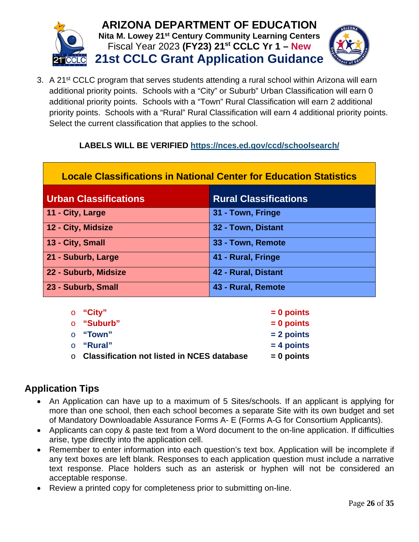

3. A 21<sup>st</sup> CCLC program that serves students attending a rural school within Arizona will earn additional priority points. Schools with a "City" or Suburb" Urban Classification will earn 0 additional priority points. Schools with a "Town" Rural Classification will earn 2 additional priority points. Schools with a "Rural" Rural Classification will earn 4 additional priority points. Select the current classification that applies to the school.

## **LABELS WILL BE VERIFIED<https://nces.ed.gov/ccd/schoolsearch/>**

| <b>Locale Classifications in National Center for Education Statistics</b> |                              |  |  |
|---------------------------------------------------------------------------|------------------------------|--|--|
| <b>Urban Classifications</b>                                              | <b>Rural Classifications</b> |  |  |
| 11 - City, Large                                                          | 31 - Town, Fringe            |  |  |
| 12 - City, Midsize                                                        | 32 - Town, Distant           |  |  |
| 13 - City, Small                                                          | 33 - Town, Remote            |  |  |
| 21 - Suburb, Large                                                        | 41 - Rural, Fringe           |  |  |
| 22 - Suburb, Midsize                                                      | 42 - Rural, Distant          |  |  |
| 23 - Suburb, Small                                                        | 43 - Rural, Remote           |  |  |

| ○ "City"                                           | $= 0$ points |
|----------------------------------------------------|--------------|
| ○ "Suburb"                                         | $= 0$ points |
| ○ <b>"Town"</b>                                    | $= 2$ points |
| ○ "Rural"                                          | $= 4$ points |
| $\circ$ Classification not listed in NCES database | $= 0$ points |

# <span id="page-26-0"></span>**Application Tips**

- An Application can have up to a maximum of 5 Sites/schools. If an applicant is applying for more than one school, then each school becomes a separate Site with its own budget and set of Mandatory Downloadable Assurance Forms A- E (Forms A-G for Consortium Applicants).
- Applicants can copy & paste text from a Word document to the on-line application. If difficulties arise, type directly into the application cell.
- Remember to enter information into each question's text box. Application will be incomplete if any text boxes are left blank. Responses to each application question must include a narrative text response. Place holders such as an asterisk or hyphen will not be considered an acceptable response.
- Review a printed copy for completeness prior to submitting on-line.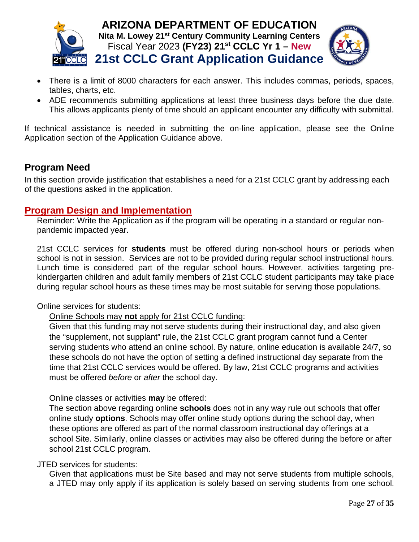



- 
- There is a limit of 8000 characters for each answer. This includes commas, periods, spaces, tables, charts, etc.
- ADE recommends submitting applications at least three business days before the due date. This allows applicants plenty of time should an applicant encounter any difficulty with submittal.

If technical assistance is needed in submitting the on-line application, please see the Online Application section of the Application Guidance above.

## <span id="page-27-0"></span>**Program Need**

In this section provide justification that establishes a need for a 21st CCLC grant by addressing each of the questions asked in the application.

## **Program Design and Implementation**

Reminder: Write the Application as if the program will be operating in a standard or regular nonpandemic impacted year.

21st CCLC services for **students** must be offered during non-school hours or periods when school is not in session. Services are not to be provided during regular school instructional hours. Lunch time is considered part of the regular school hours. However, activities targeting prekindergarten children and adult family members of 21st CCLC student participants may take place during regular school hours as these times may be most suitable for serving those populations.

Online services for students:

#### Online Schools may **not** apply for 21st CCLC funding:

Given that this funding may not serve students during their instructional day, and also given the "supplement, not supplant" rule, the 21st CCLC grant program cannot fund a Center serving students who attend an online school. By nature, online education is available 24/7, so these schools do not have the option of setting a defined instructional day separate from the time that 21st CCLC services would be offered. By law, 21st CCLC programs and activities must be offered *before* or *after* the school day.

#### Online classes or activities **may** be offered:

The section above regarding online **schools** does not in any way rule out schools that offer online study **options**. Schools may offer online study options during the school day, when these options are offered as part of the normal classroom instructional day offerings at a school Site. Similarly, online classes or activities may also be offered during the before or after school 21st CCLC program.

JTED services for students:

Given that applications must be Site based and may not serve students from multiple schools, a JTED may only apply if its application is solely based on serving students from one school.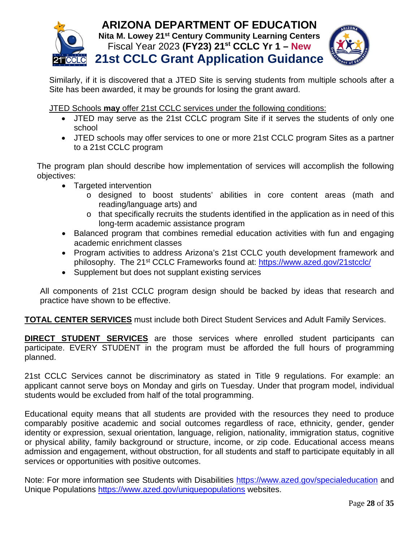

Similarly, if it is discovered that a JTED Site is serving students from multiple schools after a Site has been awarded, it may be grounds for losing the grant award.

JTED Schools **may** offer 21st CCLC services under the following conditions:

- JTED may serve as the 21st CCLC program Site if it serves the students of only one school
- JTED schools may offer services to one or more 21st CCLC program Sites as a partner to a 21st CCLC program

The program plan should describe how implementation of services will accomplish the following objectives:

- Targeted intervention
	- o designed to boost students' abilities in core content areas (math and reading/language arts) and
	- o that specifically recruits the students identified in the application as in need of this long-term academic assistance program
- Balanced program that combines remedial education activities with fun and engaging academic enrichment classes
- Program activities to address Arizona's 21st CCLC youth development framework and philosophy. The 21st CCLC Frameworks found at: <https://www.azed.gov/21stcclc/>
- Supplement but does not supplant existing services

All components of 21st CCLC program design should be backed by ideas that research and practice have shown to be effective.

**TOTAL CENTER SERVICES** must include both Direct Student Services and Adult Family Services.

**DIRECT STUDENT SERVICES** are those services where enrolled student participants can participate. EVERY STUDENT in the program must be afforded the full hours of programming planned.

21st CCLC Services cannot be discriminatory as stated in Title 9 regulations. For example: an applicant cannot serve boys on Monday and girls on Tuesday. Under that program model, individual students would be excluded from half of the total programming.

Educational equity means that all students are provided with the resources they need to produce comparably positive academic and social outcomes regardless of race, ethnicity, gender, gender identity or expression, sexual orientation, language, religion, nationality, immigration status, cognitive or physical ability, family background or structure, income, or zip code. Educational access means admission and engagement, without obstruction, for all students and staff to participate equitably in all services or opportunities with positive outcomes.

Note: For more information see Students with Disabilities <https://www.azed.gov/specialeducation> and Unique Populations<https://www.azed.gov/uniquepopulations> websites.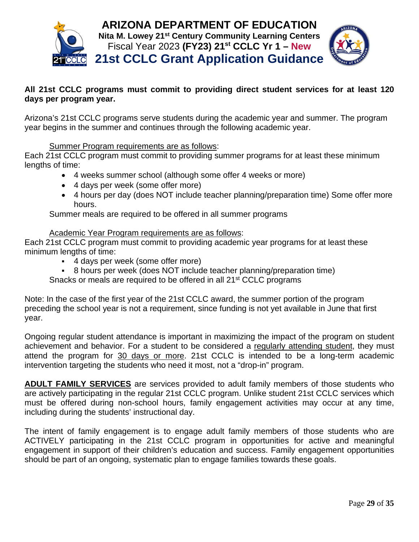

#### **All 21st CCLC programs must commit to providing direct student services for at least 120 days per program year.**

Arizona's 21st CCLC programs serve students during the academic year and summer. The program year begins in the summer and continues through the following academic year.

Summer Program requirements are as follows:

Each 21st CCLC program must commit to providing summer programs for at least these minimum lengths of time:

- 4 weeks summer school (although some offer 4 weeks or more)
- 4 days per week (some offer more)
- 4 hours per day (does NOT include teacher planning/preparation time) Some offer more hours.

Summer meals are required to be offered in all summer programs

#### Academic Year Program requirements are as follows:

Each 21st CCLC program must commit to providing academic year programs for at least these minimum lengths of time:

- 4 days per week (some offer more)
- 8 hours per week (does NOT include teacher planning/preparation time)

Snacks or meals are required to be offered in all 21<sup>st</sup> CCLC programs

Note: In the case of the first year of the 21st CCLC award, the summer portion of the program preceding the school year is not a requirement, since funding is not yet available in June that first year.

Ongoing regular student attendance is important in maximizing the impact of the program on student achievement and behavior. For a student to be considered a regularly attending student, they must attend the program for 30 days or more. 21st CCLC is intended to be a long-term academic intervention targeting the students who need it most, not a "drop-in" program.

**ADULT FAMILY SERVICES** are services provided to adult family members of those students who are actively participating in the regular 21st CCLC program. Unlike student 21st CCLC services which must be offered during non-school hours, family engagement activities may occur at any time, including during the students' instructional day.

The intent of family engagement is to engage adult family members of those students who are ACTIVELY participating in the 21st CCLC program in opportunities for active and meaningful engagement in support of their children's education and success. Family engagement opportunities should be part of an ongoing, systematic plan to engage families towards these goals.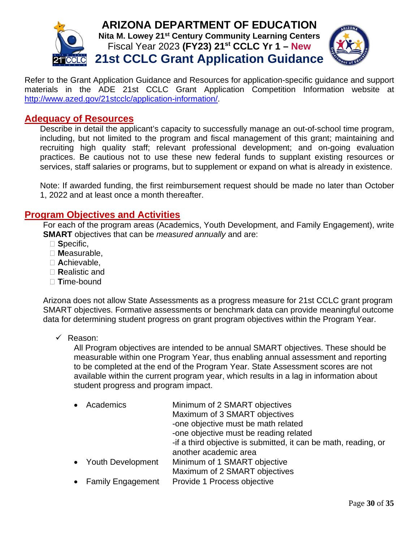



Refer to the Grant Application Guidance and Resources for application-specific guidance and support materials in the ADE 21st CCLC Grant Application Competition Information website at [http://www.azed.gov/21stcclc/application-information/.](http://www.azed.gov/21stcclc/application-information/)

#### **Adequacy of Resources**

Describe in detail the applicant's capacity to successfully manage an out-of-school time program, including, but not limited to the program and fiscal management of this grant; maintaining and recruiting high quality staff; relevant professional development; and on-going evaluation practices. Be cautious not to use these new federal funds to supplant existing resources or services, staff salaries or programs, but to supplement or expand on what is already in existence.

Note: If awarded funding, the first reimbursement request should be made no later than October 1, 2022 and at least once a month thereafter.

#### **Program Objectives and Activities**

For each of the program areas (Academics, Youth Development, and Family Engagement), write **SMART** objectives that can be *measured annually* and are:

- **S**pecific,
- **M**easurable,
- **A**chievable,
- **R**ealistic and
- **T**ime-bound

Arizona does not allow State Assessments as a progress measure for 21st CCLC grant program SMART objectives. Formative assessments or benchmark data can provide meaningful outcome data for determining student progress on grant program objectives within the Program Year.

 $\checkmark$  Reason:

All Program objectives are intended to be annual SMART objectives. These should be measurable within one Program Year, thus enabling annual assessment and reporting to be completed at the end of the Program Year. State Assessment scores are not available within the current program year, which results in a lag in information about student progress and program impact.

| • Academics         | Minimum of 2 SMART objectives                                   |
|---------------------|-----------------------------------------------------------------|
|                     | Maximum of 3 SMART objectives                                   |
|                     | -one objective must be math related                             |
|                     | -one objective must be reading related                          |
|                     | -if a third objective is submitted, it can be math, reading, or |
|                     | another academic area                                           |
| • Youth Development | Minimum of 1 SMART objective                                    |
|                     | Maximum of 2 SMART objectives                                   |
| • Family Engagement | Provide 1 Process objective                                     |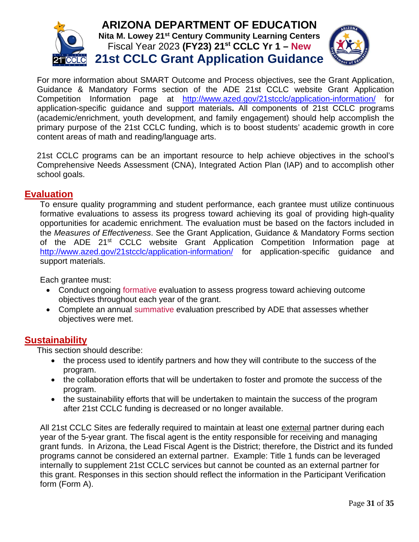



For more information about SMART Outcome and Process objectives, see the Grant Application, Guidance & Mandatory Forms section of the ADE 21st CCLC website Grant Application Competition Information page at <http://www.azed.gov/21stcclc/application-information/> for application-specific guidance and support materials**.** All components of 21st CCLC programs (academic/enrichment, youth development, and family engagement) should help accomplish the primary purpose of the 21st CCLC funding, which is to boost students' academic growth in core content areas of math and reading/language arts.

21st CCLC programs can be an important resource to help achieve objectives in the school's Comprehensive Needs Assessment (CNA), Integrated Action Plan (IAP) and to accomplish other school goals.

#### **Evaluation**

To ensure quality programming and student performance, each grantee must utilize continuous formative evaluations to assess its progress toward achieving its goal of providing high-quality opportunities for academic enrichment. The evaluation must be based on the factors included in the *Measures of Effectiveness*. See the Grant Application, Guidance & Mandatory Forms section of the ADE 21<sup>st</sup> CCLC website Grant Application Competition Information page at <http://www.azed.gov/21stcclc/application-information/> for application-specific guidance and support materials.

Each grantee must:

- Conduct ongoing formative evaluation to assess progress toward achieving outcome objectives throughout each year of the grant.
- Complete an annual summative evaluation prescribed by ADE that assesses whether objectives were met.

#### **Sustainability**

This section should describe:

- the process used to identify partners and how they will contribute to the success of the program.
- the collaboration efforts that will be undertaken to foster and promote the success of the program.
- the sustainability efforts that will be undertaken to maintain the success of the program after 21st CCLC funding is decreased or no longer available.

All 21st CCLC Sites are federally required to maintain at least one external partner during each year of the 5-year grant. The fiscal agent is the entity responsible for receiving and managing grant funds. In Arizona, the Lead Fiscal Agent is the District; therefore, the District and its funded programs cannot be considered an external partner. Example: Title 1 funds can be leveraged internally to supplement 21st CCLC services but cannot be counted as an external partner for this grant. Responses in this section should reflect the information in the Participant Verification form (Form A).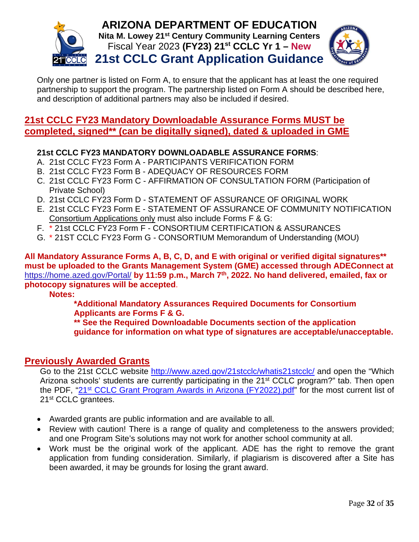

Only one partner is listed on Form A, to ensure that the applicant has at least the one required partnership to support the program. The partnership listed on Form A should be described here, and description of additional partners may also be included if desired.

## **21st CCLC FY23 Mandatory Downloadable Assurance Forms MUST be completed, signed\*\* (can be digitally signed), dated & uploaded in GME**

#### **21st CCLC FY23 MANDATORY DOWNLOADABLE ASSURANCE FORMS**:

- A. 21st CCLC FY23 Form A PARTICIPANTS VERIFICATION FORM
- B. 21st CCLC FY23 Form B ADEQUACY OF RESOURCES FORM
- C. 21st CCLC FY23 Form C AFFIRMATION OF CONSULTATION FORM (Participation of Private School)
- D. 21st CCLC FY23 Form D STATEMENT OF ASSURANCE OF ORIGINAL WORK
- E. 21st CCLC FY23 Form E STATEMENT OF ASSURANCE OF COMMUNITY NOTIFICATION Consortium Applications only must also include Forms F & G:
- F. \* 21st CCLC FY23 Form F CONSORTIUM CERTIFICATION & ASSURANCES
- G. \* 21ST CCLC FY23 Form G CONSORTIUM Memorandum of Understanding (MOU)

**All Mandatory Assurance Forms A, B, C, D, and E with original or verified digital signatures\*\* must be uploaded to the Grants Management System (GME) accessed through ADEConnect at** <https://home.azed.gov/Portal/> **by 11:59 p.m., March 7th, 2022. No hand delivered, emailed, fax or photocopy signatures will be accepted**.

#### **Notes:**

**\*Additional Mandatory Assurances Required Documents for Consortium Applicants are Forms F & G.**

**\*\* See the Required Downloadable Documents section of the application guidance for information on what type of signatures are acceptable/unacceptable.**

#### **Previously Awarded Grants**

Go to the 21st CCLC website <http://www.azed.gov/21stcclc/whatis21stcclc/> and open the "Which Arizona schools' students are currently participating in the 21<sup>st</sup> CCLC program?" tab. Then open the PDF, "21<sup>st</sup> CCLC Grant [Program Awards in Arizona \(FY2022\).pdf"](https://www.azed.gov/sites/default/files/2021/07/21st%20CCLC%20Program%202022%20Awards%20%28use%20for%20website%29.pdf) for the most current list of 21<sup>st</sup> CCLC grantees.

- Awarded grants are public information and are available to all.
- Review with caution! There is a range of quality and completeness to the answers provided; and one Program Site's solutions may not work for another school community at all.
- Work must be the original work of the applicant. ADE has the right to remove the grant application from funding consideration. Similarly, if plagiarism is discovered after a Site has been awarded, it may be grounds for losing the grant award.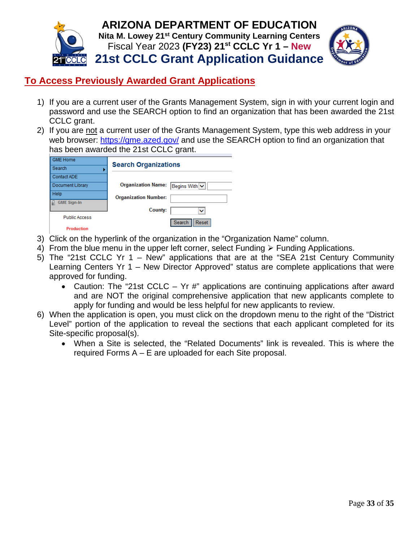

# **To Access Previously Awarded Grant Applications**

- 1) If you are a current user of the Grants Management System, sign in with your current login and password and use the SEARCH option to find an organization that has been awarded the 21st CCLC grant.
- 2) If you are not a current user of the Grants Management System, type this web address in your web browser:<https://gme.azed.gov/> and use the SEARCH option to find an organization that has been awarded the 21st CCLC grant.

| <b>GME Home</b>      | <b>Search Organizations</b>                |
|----------------------|--------------------------------------------|
| Search               |                                            |
| Contact ADE          |                                            |
| Document Library     | <b>Organization Name:</b><br>Begins With v |
| Help                 | <b>Organization Number:</b>                |
| <b>GME Sign-In</b>   |                                            |
|                      | County:<br>$\check{ }$                     |
| <b>Public Access</b> |                                            |
| Production           | Search<br>Reset                            |

- 3) Click on the hyperlink of the organization in the "Organization Name" column.
- 4) From the blue menu in the upper left corner, select Funding  $\triangleright$  Funding Applications.
- 5) The "21st CCLC Yr 1 New" applications that are at the "SEA 21st Century Community Learning Centers Yr 1 – New Director Approved" status are complete applications that were approved for funding.
	- Caution: The "21st CCLC Yr #" applications are continuing applications after award and are NOT the original comprehensive application that new applicants complete to apply for funding and would be less helpful for new applicants to review.
- 6) When the application is open, you must click on the dropdown menu to the right of the "District Level" portion of the application to reveal the sections that each applicant completed for its Site-specific proposal(s).
	- When a Site is selected, the "Related Documents" link is revealed. This is where the required Forms A – E are uploaded for each Site proposal.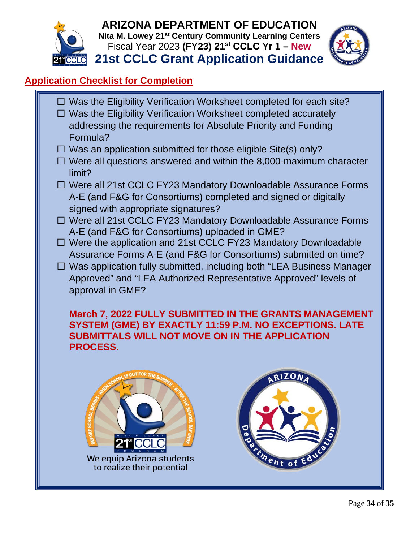



# <span id="page-34-0"></span>**Application Checklist for Completion**

- $\Box$  Was the Eligibility Verification Worksheet completed for each site?
- □ Was the Eligibility Verification Worksheet completed accurately addressing the requirements for Absolute Priority and Funding Formula?
- $\Box$  Was an application submitted for those eligible Site(s) only?
- $\Box$  Were all questions answered and within the 8,000-maximum character limit?
- □ Were all 21st CCLC FY23 Mandatory Downloadable Assurance Forms A-E (and F&G for Consortiums) completed and signed or digitally signed with appropriate signatures?
- □ Were all 21st CCLC FY23 Mandatory Downloadable Assurance Forms A-E (and F&G for Consortiums) uploaded in GME?
- □ Were the application and 21st CCLC FY23 Mandatory Downloadable Assurance Forms A-E (and F&G for Consortiums) submitted on time?
- □ Was application fully submitted, including both "LEA Business Manager Approved" and "LEA Authorized Representative Approved" levels of approval in GME?

**March 7, 2022 FULLY SUBMITTED IN THE GRANTS MANAGEMENT SYSTEM (GME) BY EXACTLY 11:59 P.M. NO EXCEPTIONS. LATE SUBMITTALS WILL NOT MOVE ON IN THE APPLICATION PROCESS.**



We equip Arizona students to realize their potential